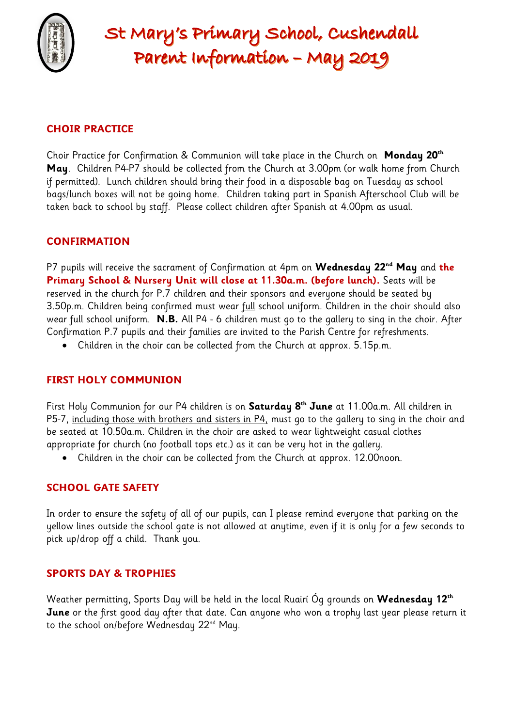

# St Mary's Primary School, Cushendall Parent Information - May 2019

## **CHOIR PRACTICE**

Choir Practice for Confirmation & Communion will take place in the Church on **Monday 20th May**. Children P4-P7 should be collected from the Church at 3.00pm (or walk home from Church if permitted). Lunch children should bring their food in a disposable bag on Tuesday as school bags/lunch boxes will not be going home. Children taking part in Spanish Afterschool Club will be taken back to school by staff. Please collect children after Spanish at 4.00pm as usual.

### **CONFIRMATION**

P7 pupils will receive the sacrament of Confirmation at 4pm on **Wednesday 22nd May** and **the Primary School & Nursery Unit will close at 11.30a.m. (before lunch).** Seats will be reserved in the church for P.7 children and their sponsors and everyone should be seated by 3.50p.m. Children being confirmed must wear full school uniform. Children in the choir should also wear full school uniform. **N.B.** All P4 - 6 children must go to the gallery to sing in the choir. After Confirmation P.7 pupils and their families are invited to the Parish Centre for refreshments.

Children in the choir can be collected from the Church at approx. 5.15p.m.

### **FIRST HOLY COMMUNION**

First Holy Communion for our P4 children is on **Saturday 8th June** at 11.00a.m. All children in P5-7, including those with brothers and sisters in P4, must go to the gallery to sing in the choir and be seated at 10.50a.m. Children in the choir are asked to wear lightweight casual clothes appropriate for church (no football tops etc.) as it can be very hot in the gallery.

Children in the choir can be collected from the Church at approx. 12.00noon.

### **SCHOOL GATE SAFETY**

In order to ensure the safety of all of our pupils, can I please remind everyone that parking on the yellow lines outside the school gate is not allowed at anytime, even if it is only for a few seconds to pick up/drop off a child. Thank you.

### **SPORTS DAY & TROPHIES**

Weather permitting, Sports Day will be held in the local Ruairí Óg grounds on **Wednesday 12th June** or the first good day after that date. Can anyone who won a trophy last year please return it to the school on/before Wednesday 22<sup>nd</sup> May.